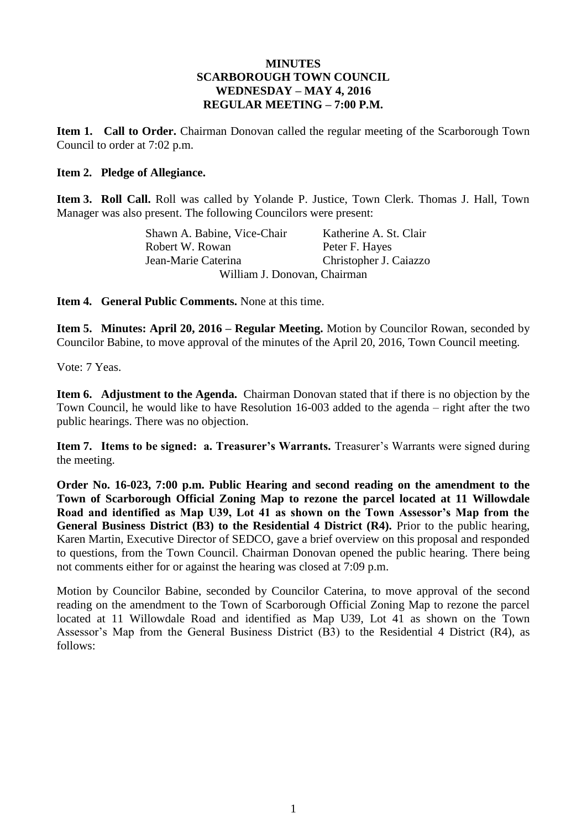### **MINUTES SCARBOROUGH TOWN COUNCIL WEDNESDAY – MAY 4, 2016 REGULAR MEETING – 7:00 P.M.**

**Item 1. Call to Order.** Chairman Donovan called the regular meeting of the Scarborough Town Council to order at 7:02 p.m.

### **Item 2. Pledge of Allegiance.**

**Item 3. Roll Call.** Roll was called by Yolande P. Justice, Town Clerk. Thomas J. Hall, Town Manager was also present. The following Councilors were present:

> Shawn A. Babine, Vice-Chair Katherine A. St. Clair Robert W. Rowan Peter F. Hayes Jean-Marie Caterina Christopher J. Caiazzo William J. Donovan, Chairman

**Item 4. General Public Comments.** None at this time.

**Item 5. Minutes: April 20, 2016 – Regular Meeting.** Motion by Councilor Rowan, seconded by Councilor Babine, to move approval of the minutes of the April 20, 2016, Town Council meeting.

Vote: 7 Yeas.

**Item 6. Adjustment to the Agenda.** Chairman Donovan stated that if there is no objection by the Town Council, he would like to have Resolution 16-003 added to the agenda – right after the two public hearings. There was no objection.

**Item 7. Items to be signed: a. Treasurer's Warrants.** Treasurer's Warrants were signed during the meeting.

**Order No. 16-023, 7:00 p.m. Public Hearing and second reading on the amendment to the Town of Scarborough Official Zoning Map to rezone the parcel located at 11 Willowdale Road and identified as Map U39, Lot 41 as shown on the Town Assessor's Map from the General Business District (B3) to the Residential 4 District (R4).** Prior to the public hearing, Karen Martin, Executive Director of SEDCO, gave a brief overview on this proposal and responded to questions, from the Town Council. Chairman Donovan opened the public hearing. There being not comments either for or against the hearing was closed at 7:09 p.m.

Motion by Councilor Babine, seconded by Councilor Caterina, to move approval of the second reading on the amendment to the Town of Scarborough Official Zoning Map to rezone the parcel located at 11 Willowdale Road and identified as Map U39, Lot 41 as shown on the Town Assessor's Map from the General Business District (B3) to the Residential 4 District (R4), as follows: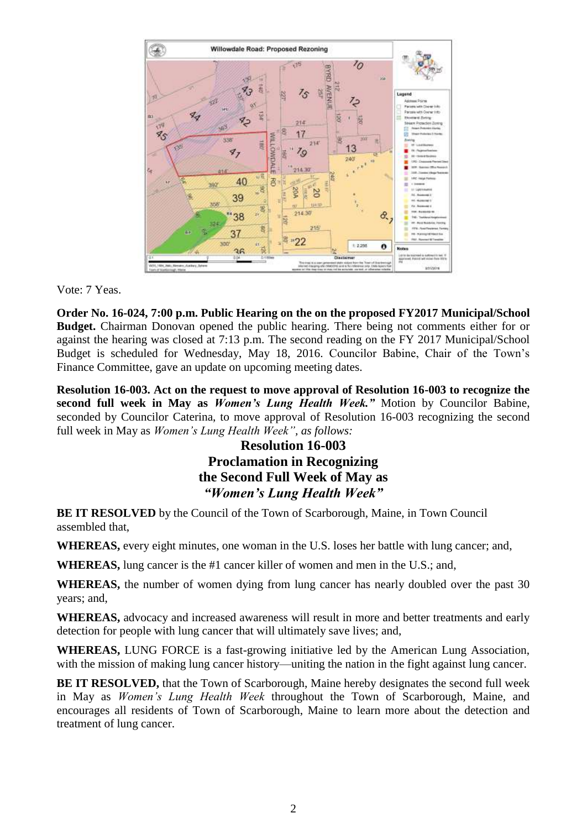

Vote: 7 Yeas.

**Order No. 16-024, 7:00 p.m. Public Hearing on the on the proposed FY2017 Municipal/School Budget.** Chairman Donovan opened the public hearing. There being not comments either for or against the hearing was closed at 7:13 p.m. The second reading on the FY 2017 Municipal/School Budget is scheduled for Wednesday, May 18, 2016. Councilor Babine, Chair of the Town's Finance Committee, gave an update on upcoming meeting dates.

**Resolution 16-003. Act on the request to move approval of Resolution 16-003 to recognize the second full week in May as** *Women's Lung Health Week."* Motion by Councilor Babine, seconded by Councilor Caterina, to move approval of Resolution 16-003 recognizing the second full week in May as *Women's Lung Health Week", as follows:*

# **Resolution 16-003 Proclamation in Recognizing the Second Full Week of May as** *"Women's Lung Health Week"*

**BE IT RESOLVED** by the Council of the Town of Scarborough, Maine, in Town Council assembled that,

**WHEREAS,** every eight minutes, one woman in the U.S. loses her battle with lung cancer; and,

**WHEREAS,** lung cancer is the #1 cancer killer of women and men in the U.S.; and,

**WHEREAS,** the number of women dying from lung cancer has nearly doubled over the past 30 years; and,

**WHEREAS,** advocacy and increased awareness will result in more and better treatments and early detection for people with lung cancer that will ultimately save lives; and,

**WHEREAS,** LUNG FORCE is a fast-growing initiative led by the American Lung Association, with the mission of making lung cancer history—uniting the nation in the fight against lung cancer.

**BE IT RESOLVED,** that the Town of Scarborough, Maine hereby designates the second full week in May as *Women's Lung Health Week* throughout the Town of Scarborough, Maine, and encourages all residents of Town of Scarborough, Maine to learn more about the detection and treatment of lung cancer.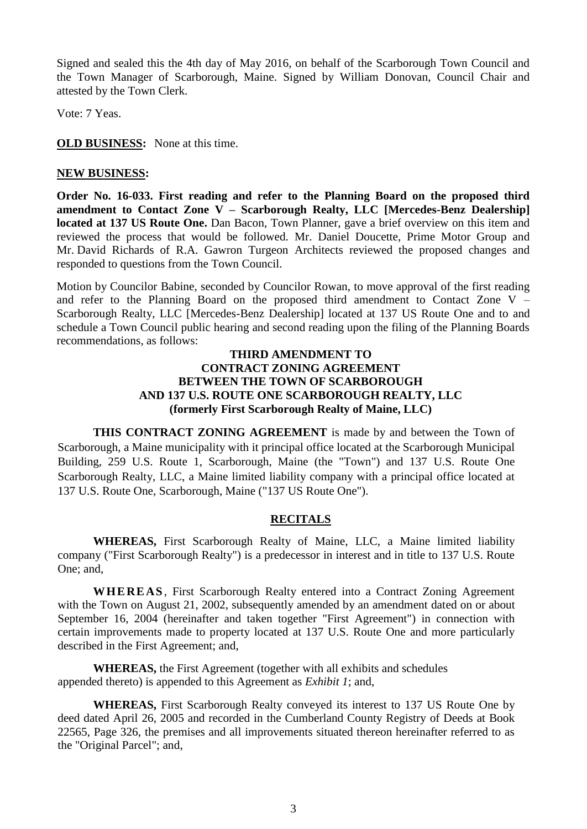Signed and sealed this the 4th day of May 2016, on behalf of the Scarborough Town Council and the Town Manager of Scarborough, Maine. Signed by William Donovan, Council Chair and attested by the Town Clerk.

Vote: 7 Yeas.

**OLD BUSINESS:** None at this time.

### **NEW BUSINESS:**

**Order No. 16-033. First reading and refer to the Planning Board on the proposed third amendment to Contact Zone V – Scarborough Realty, LLC [Mercedes-Benz Dealership] located at 137 US Route One.** Dan Bacon, Town Planner, gave a brief overview on this item and reviewed the process that would be followed. Mr. Daniel Doucette, Prime Motor Group and Mr. David Richards of R.A. Gawron Turgeon Architects reviewed the proposed changes and responded to questions from the Town Council.

Motion by Councilor Babine, seconded by Councilor Rowan, to move approval of the first reading and refer to the Planning Board on the proposed third amendment to Contact Zone V – Scarborough Realty, LLC [Mercedes-Benz Dealership] located at 137 US Route One and to and schedule a Town Council public hearing and second reading upon the filing of the Planning Boards recommendations, as follows:

### **THIRD AMENDMENT TO CONTRACT ZONING AGREEMENT BETWEEN THE TOWN OF SCARBOROUGH AND 137 U.S. ROUTE ONE SCARBOROUGH REALTY, LLC (formerly First Scarborough Realty of Maine, LLC)**

**THIS CONTRACT ZONING AGREEMENT** is made by and between the Town of Scarborough, a Maine municipality with it principal office located at the Scarborough Municipal Building, 259 U.S. Route 1, Scarborough, Maine (the "Town") and 137 U.S. Route One Scarborough Realty, LLC, a Maine limited liability company with a principal office located at 137 U.S. Route One, Scarborough, Maine ("137 US Route One").

### **RECITALS**

**WHEREAS,** First Scarborough Realty of Maine, LLC, a Maine limited liability company ("First Scarborough Realty") is a predecessor in interest and in title to 137 U.S. Route One; and,

**W HE RE AS** , First Scarborough Realty entered into a Contract Zoning Agreement with the Town on August 21, 2002, subsequently amended by an amendment dated on or about September 16, 2004 (hereinafter and taken together "First Agreement") in connection with certain improvements made to property located at 137 U.S. Route One and more particularly described in the First Agreement; and,

**WHEREAS,** the First Agreement (together with all exhibits and schedules appended thereto) is appended to this Agreement as *Exhibit 1*; and,

**WHEREAS,** First Scarborough Realty conveyed its interest to 137 US Route One by deed dated April 26, 2005 and recorded in the Cumberland County Registry of Deeds at Book 22565, Page 326, the premises and all improvements situated thereon hereinafter referred to as the "Original Parcel"; and,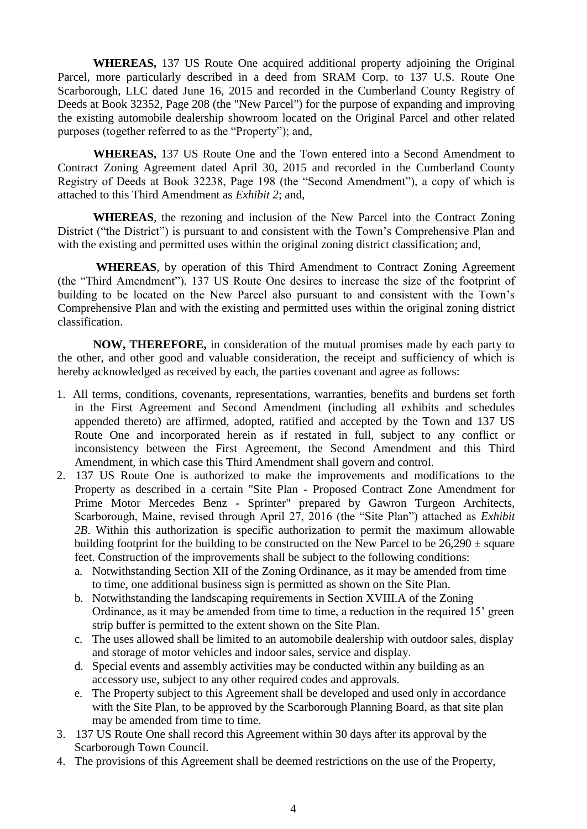**WHEREAS,** 137 US Route One acquired additional property adjoining the Original Parcel, more particularly described in a deed from SRAM Corp. to 137 U.S. Route One Scarborough, LLC dated June 16, 2015 and recorded in the Cumberland County Registry of Deeds at Book 32352, Page 208 (the "New Parcel") for the purpose of expanding and improving the existing automobile dealership showroom located on the Original Parcel and other related purposes (together referred to as the "Property"); and,

**WHEREAS,** 137 US Route One and the Town entered into a Second Amendment to Contract Zoning Agreement dated April 30, 2015 and recorded in the Cumberland County Registry of Deeds at Book 32238, Page 198 (the "Second Amendment"), a copy of which is attached to this Third Amendment as *Exhibit 2*; and,

**WHEREAS**, the rezoning and inclusion of the New Parcel into the Contract Zoning District ("the District") is pursuant to and consistent with the Town's Comprehensive Plan and with the existing and permitted uses within the original zoning district classification; and,

**WHEREAS**, by operation of this Third Amendment to Contract Zoning Agreement (the "Third Amendment"), 137 US Route One desires to increase the size of the footprint of building to be located on the New Parcel also pursuant to and consistent with the Town's Comprehensive Plan and with the existing and permitted uses within the original zoning district classification.

**NOW, THEREFORE,** in consideration of the mutual promises made by each party to the other, and other good and valuable consideration, the receipt and sufficiency of which is hereby acknowledged as received by each, the parties covenant and agree as follows:

- 1. All terms, conditions, covenants, representations, warranties, benefits and burdens set forth in the First Agreement and Second Amendment (including all exhibits and schedules appended thereto) are affirmed, adopted, ratified and accepted by the Town and 137 US Route One and incorporated herein as if restated in full, subject to any conflict or inconsistency between the First Agreement, the Second Amendment and this Third Amendment, in which case this Third Amendment shall govern and control.
- 2. 137 US Route One is authorized to make the improvements and modifications to the Property as described in a certain "Site Plan - Proposed Contract Zone Amendment for Prime Motor Mercedes Benz - Sprinter" prepared by Gawron Turgeon Architects, Scarborough, Maine, revised through April 27, 2016 (the "Site Plan") attached as *Exhibit 2B*. Within this authorization is specific authorization to permit the maximum allowable building footprint for the building to be constructed on the New Parcel to be  $26,290 \pm$  square feet. Construction of the improvements shall be subject to the following conditions:
	- a. Notwithstanding Section XII of the Zoning Ordinance, as it may be amended from time to time, one additional business sign is permitted as shown on the Site Plan.
	- b. Notwithstanding the landscaping requirements in Section XVIII.A of the Zoning Ordinance, as it may be amended from time to time, a reduction in the required 15' green strip buffer is permitted to the extent shown on the Site Plan.
	- c. The uses allowed shall be limited to an automobile dealership with outdoor sales, display and storage of motor vehicles and indoor sales, service and display.
	- d. Special events and assembly activities may be conducted within any building as an accessory use, subject to any other required codes and approvals.
	- e. The Property subject to this Agreement shall be developed and used only in accordance with the Site Plan, to be approved by the Scarborough Planning Board, as that site plan may be amended from time to time.
- 3. 137 US Route One shall record this Agreement within 30 days after its approval by the Scarborough Town Council.
- 4. The provisions of this Agreement shall be deemed restrictions on the use of the Property,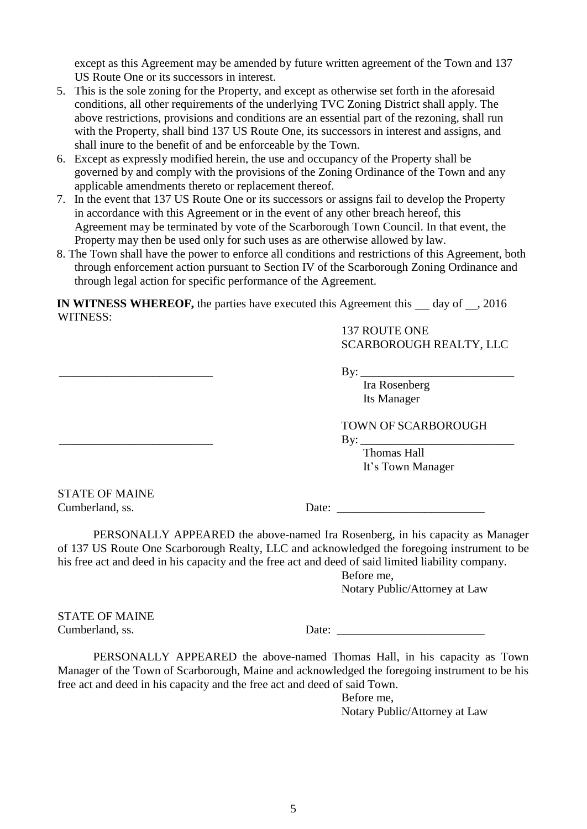except as this Agreement may be amended by future written agreement of the Town and 137 US Route One or its successors in interest.

- 5. This is the sole zoning for the Property, and except as otherwise set forth in the aforesaid conditions, all other requirements of the underlying TVC Zoning District shall apply. The above restrictions, provisions and conditions are an essential part of the rezoning, shall run with the Property, shall bind 137 US Route One, its successors in interest and assigns, and shall inure to the benefit of and be enforceable by the Town.
- 6. Except as expressly modified herein, the use and occupancy of the Property shall be governed by and comply with the provisions of the Zoning Ordinance of the Town and any applicable amendments thereto or replacement thereof.
- 7. In the event that 137 US Route One or its successors or assigns fail to develop the Property in accordance with this Agreement or in the event of any other breach hereof, this Agreement may be terminated by vote of the Scarborough Town Council. In that event, the Property may then be used only for such uses as are otherwise allowed by law.
- 8. The Town shall have the power to enforce all conditions and restrictions of this Agreement, both through enforcement action pursuant to Section IV of the Scarborough Zoning Ordinance and through legal action for specific performance of the Agreement.

**IN WITNESS WHEREOF,** the parties have executed this Agreement this  $\qquad$  day of  $\qquad$ , 2016 WITNESS:

> 137 ROUTE ONE SCARBOROUGH REALTY, LLC

\_\_\_\_\_\_\_\_\_\_\_\_\_\_\_\_\_\_\_\_\_\_\_\_\_\_ By: \_\_\_\_\_\_\_\_\_\_\_\_\_\_\_\_\_\_\_\_\_\_\_\_\_\_

Ira Rosenberg Its Manager

TOWN OF SCARBOROUGH

\_\_\_\_\_\_\_\_\_\_\_\_\_\_\_\_\_\_\_\_\_\_\_\_\_\_ By: \_\_\_\_\_\_\_\_\_\_\_\_\_\_\_\_\_\_\_\_\_\_\_\_\_\_

Thomas Hall It's Town Manager

STATE OF MAINE

Cumberland, ss. Date:

PERSONALLY APPEARED the above-named Ira Rosenberg, in his capacity as Manager of 137 US Route One Scarborough Realty, LLC and acknowledged the foregoing instrument to be his free act and deed in his capacity and the free act and deed of said limited liability company.

> Before me, Notary Public/Attorney at Law

STATE OF MAINE

Cumberland, ss. Date:

PERSONALLY APPEARED the above-named Thomas Hall, in his capacity as Town Manager of the Town of Scarborough, Maine and acknowledged the foregoing instrument to be his free act and deed in his capacity and the free act and deed of said Town.

> Before me, Notary Public/Attorney at Law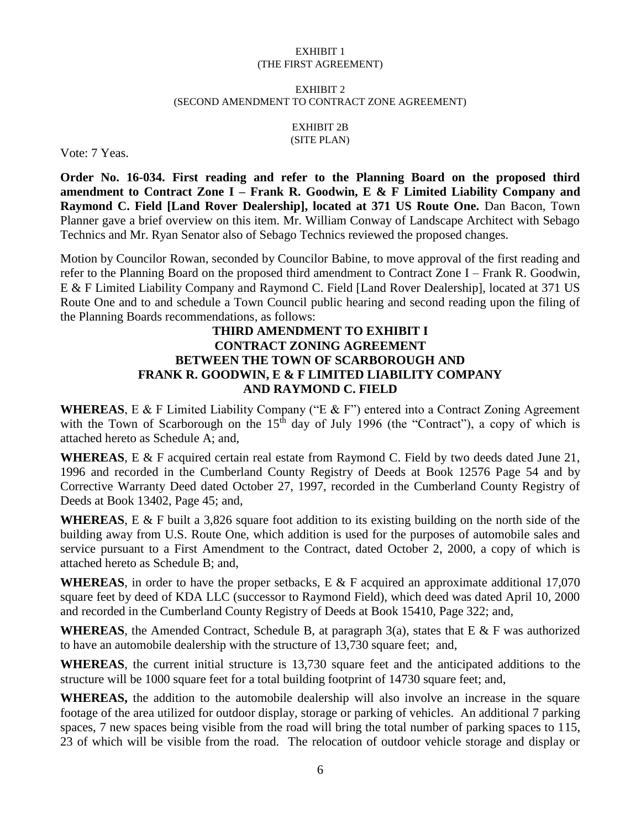#### EXHIBIT 1 (THE FIRST AGREEMENT)

#### EXHIBIT 2 (SECOND AMENDMENT TO CONTRACT ZONE AGREEMENT)

#### EXHIBIT 2B (SITE PLAN)

Vote: 7 Yeas.

**Order No. 16-034. First reading and refer to the Planning Board on the proposed third amendment to Contract Zone I – Frank R. Goodwin, E & F Limited Liability Company and Raymond C. Field [Land Rover Dealership], located at 371 US Route One.** Dan Bacon, Town Planner gave a brief overview on this item. Mr. William Conway of Landscape Architect with Sebago Technics and Mr. Ryan Senator also of Sebago Technics reviewed the proposed changes.

Motion by Councilor Rowan, seconded by Councilor Babine, to move approval of the first reading and refer to the Planning Board on the proposed third amendment to Contract Zone I – Frank R. Goodwin, E & F Limited Liability Company and Raymond C. Field [Land Rover Dealership], located at 371 US Route One and to and schedule a Town Council public hearing and second reading upon the filing of the Planning Boards recommendations, as follows:

### **THIRD AMENDMENT TO EXHIBIT I CONTRACT ZONING AGREEMENT BETWEEN THE TOWN OF SCARBOROUGH AND FRANK R. GOODWIN, E & F LIMITED LIABILITY COMPANY AND RAYMOND C. FIELD**

**WHEREAS**, E & F Limited Liability Company ("E & F") entered into a Contract Zoning Agreement with the Town of Scarborough on the  $15<sup>th</sup>$  day of July 1996 (the "Contract"), a copy of which is attached hereto as Schedule A; and,

**WHEREAS**, E & F acquired certain real estate from Raymond C. Field by two deeds dated June 21, 1996 and recorded in the Cumberland County Registry of Deeds at Book 12576 Page 54 and by Corrective Warranty Deed dated October 27, 1997, recorded in the Cumberland County Registry of Deeds at Book 13402, Page 45; and,

**WHEREAS**, E & F built a 3,826 square foot addition to its existing building on the north side of the building away from U.S. Route One, which addition is used for the purposes of automobile sales and service pursuant to a First Amendment to the Contract, dated October 2, 2000, a copy of which is attached hereto as Schedule B; and,

**WHEREAS**, in order to have the proper setbacks, E & F acquired an approximate additional 17,070 square feet by deed of KDA LLC (successor to Raymond Field), which deed was dated April 10, 2000 and recorded in the Cumberland County Registry of Deeds at Book 15410, Page 322; and,

**WHEREAS**, the Amended Contract, Schedule B, at paragraph 3(a), states that E & F was authorized to have an automobile dealership with the structure of 13,730 square feet; and,

**WHEREAS**, the current initial structure is 13,730 square feet and the anticipated additions to the structure will be 1000 square feet for a total building footprint of 14730 square feet; and,

**WHEREAS,** the addition to the automobile dealership will also involve an increase in the square footage of the area utilized for outdoor display, storage or parking of vehicles. An additional 7 parking spaces, 7 new spaces being visible from the road will bring the total number of parking spaces to 115, 23 of which will be visible from the road. The relocation of outdoor vehicle storage and display or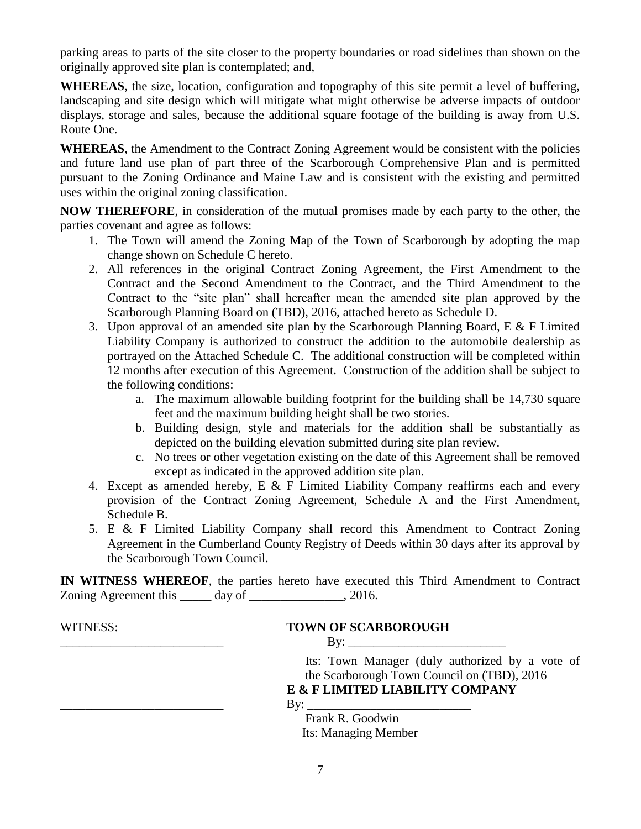parking areas to parts of the site closer to the property boundaries or road sidelines than shown on the originally approved site plan is contemplated; and,

**WHEREAS**, the size, location, configuration and topography of this site permit a level of buffering, landscaping and site design which will mitigate what might otherwise be adverse impacts of outdoor displays, storage and sales, because the additional square footage of the building is away from U.S. Route One.

**WHEREAS**, the Amendment to the Contract Zoning Agreement would be consistent with the policies and future land use plan of part three of the Scarborough Comprehensive Plan and is permitted pursuant to the Zoning Ordinance and Maine Law and is consistent with the existing and permitted uses within the original zoning classification.

**NOW THEREFORE**, in consideration of the mutual promises made by each party to the other, the parties covenant and agree as follows:

- 1. The Town will amend the Zoning Map of the Town of Scarborough by adopting the map change shown on Schedule C hereto.
- 2. All references in the original Contract Zoning Agreement, the First Amendment to the Contract and the Second Amendment to the Contract, and the Third Amendment to the Contract to the "site plan" shall hereafter mean the amended site plan approved by the Scarborough Planning Board on (TBD), 2016, attached hereto as Schedule D.
- 3. Upon approval of an amended site plan by the Scarborough Planning Board, E & F Limited Liability Company is authorized to construct the addition to the automobile dealership as portrayed on the Attached Schedule C. The additional construction will be completed within 12 months after execution of this Agreement. Construction of the addition shall be subject to the following conditions:
	- a. The maximum allowable building footprint for the building shall be 14,730 square feet and the maximum building height shall be two stories.
	- b. Building design, style and materials for the addition shall be substantially as depicted on the building elevation submitted during site plan review.
	- c. No trees or other vegetation existing on the date of this Agreement shall be removed except as indicated in the approved addition site plan.
- 4. Except as amended hereby, E & F Limited Liability Company reaffirms each and every provision of the Contract Zoning Agreement, Schedule A and the First Amendment, Schedule B.
- 5. E & F Limited Liability Company shall record this Amendment to Contract Zoning Agreement in the Cumberland County Registry of Deeds within 30 days after its approval by the Scarborough Town Council.

**IN WITNESS WHEREOF**, the parties hereto have executed this Third Amendment to Contract Zoning Agreement this day of 3.2016.

## WITNESS: **TOWN OF SCARBOROUGH**

 $\mathbf{By:}$ 

Its: Town Manager (duly authorized by a vote of the Scarborough Town Council on (TBD), 2016

**E & F LIMITED LIABILITY COMPANY**

\_\_\_\_\_\_\_\_\_\_\_\_\_\_\_\_\_\_\_\_\_\_\_\_\_\_ By: \_\_\_\_\_\_\_\_\_\_\_\_\_\_\_\_\_\_\_\_\_\_\_\_\_\_

 Frank R. Goodwin Its: Managing Member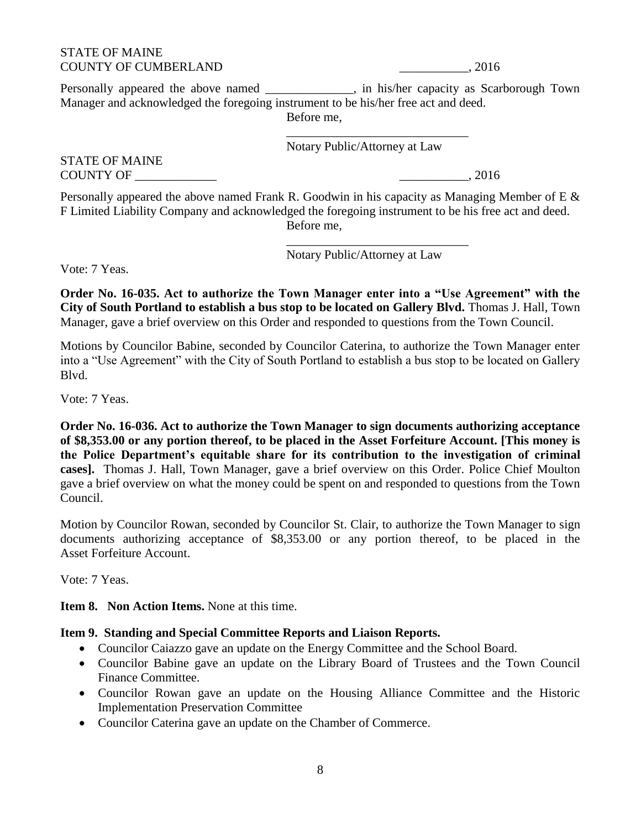### STATE OF MAINE COUNTY OF CUMBERLAND \_\_\_\_\_\_\_\_\_\_\_, 2016

Personally appeared the above named \_\_\_\_\_\_\_\_\_\_\_, in his/her capacity as Scarborough Town Manager and acknowledged the foregoing instrument to be his/her free act and deed. Before me,

> \_\_\_\_\_\_\_\_\_\_\_\_\_\_\_\_\_\_\_\_\_\_\_\_\_\_\_\_\_ Notary Public/Attorney at Law

STATE OF MAINE COUNTY OF \_\_\_\_\_\_\_\_\_\_\_\_\_ \_\_\_\_\_\_\_\_\_\_\_, 2016

Personally appeared the above named Frank R. Goodwin in his capacity as Managing Member of E & F Limited Liability Company and acknowledged the foregoing instrument to be his free act and deed. Before me,

Notary Public/Attorney at Law

\_\_\_\_\_\_\_\_\_\_\_\_\_\_\_\_\_\_\_\_\_\_\_\_\_\_\_\_\_

Vote: 7 Yeas.

**Order No. 16-035. Act to authorize the Town Manager enter into a "Use Agreement" with the City of South Portland to establish a bus stop to be located on Gallery Blvd.** Thomas J. Hall, Town Manager, gave a brief overview on this Order and responded to questions from the Town Council.

Motions by Councilor Babine, seconded by Councilor Caterina, to authorize the Town Manager enter into a "Use Agreement" with the City of South Portland to establish a bus stop to be located on Gallery Blvd.

Vote: 7 Yeas.

**Order No. 16-036. Act to authorize the Town Manager to sign documents authorizing acceptance of \$8,353.00 or any portion thereof, to be placed in the Asset Forfeiture Account. [This money is the Police Department's equitable share for its contribution to the investigation of criminal cases].** Thomas J. Hall, Town Manager, gave a brief overview on this Order. Police Chief Moulton gave a brief overview on what the money could be spent on and responded to questions from the Town Council.

Motion by Councilor Rowan, seconded by Councilor St. Clair, to authorize the Town Manager to sign documents authorizing acceptance of \$8,353.00 or any portion thereof, to be placed in the Asset Forfeiture Account.

Vote: 7 Yeas.

**Item 8. Non Action Items.** None at this time.

### **Item 9. Standing and Special Committee Reports and Liaison Reports.**

- Councilor Caiazzo gave an update on the Energy Committee and the School Board.
- Councilor Babine gave an update on the Library Board of Trustees and the Town Council Finance Committee.
- Councilor Rowan gave an update on the Housing Alliance Committee and the Historic Implementation Preservation Committee
- Councilor Caterina gave an update on the Chamber of Commerce.